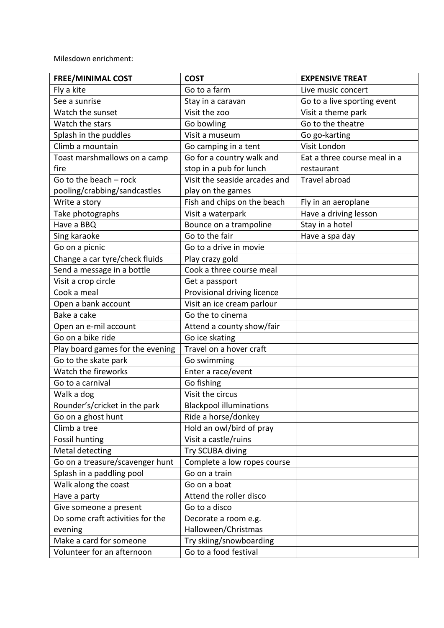Milesdown enrichment:

| <b>FREE/MINIMAL COST</b>         | <b>COST</b>                    | <b>EXPENSIVE TREAT</b>       |
|----------------------------------|--------------------------------|------------------------------|
| Fly a kite                       | Go to a farm                   | Live music concert           |
| See a sunrise                    | Stay in a caravan              | Go to a live sporting event  |
| Watch the sunset                 | Visit the zoo                  | Visit a theme park           |
| Watch the stars                  | Go bowling                     | Go to the theatre            |
| Splash in the puddles            | Visit a museum                 | Go go-karting                |
| Climb a mountain                 | Go camping in a tent           | Visit London                 |
| Toast marshmallows on a camp     | Go for a country walk and      | Eat a three course meal in a |
| fire                             | stop in a pub for lunch        | restaurant                   |
| Go to the beach - rock           | Visit the seaside arcades and  | <b>Travel abroad</b>         |
| pooling/crabbing/sandcastles     | play on the games              |                              |
| Write a story                    | Fish and chips on the beach    | Fly in an aeroplane          |
| Take photographs                 | Visit a waterpark              | Have a driving lesson        |
| Have a BBQ                       | Bounce on a trampoline         | Stay in a hotel              |
| Sing karaoke                     | Go to the fair                 | Have a spa day               |
| Go on a picnic                   | Go to a drive in movie         |                              |
| Change a car tyre/check fluids   | Play crazy gold                |                              |
| Send a message in a bottle       | Cook a three course meal       |                              |
| Visit a crop circle              | Get a passport                 |                              |
| Cook a meal                      | Provisional driving licence    |                              |
| Open a bank account              | Visit an ice cream parlour     |                              |
| Bake a cake                      | Go the to cinema               |                              |
| Open an e-mil account            | Attend a county show/fair      |                              |
| Go on a bike ride                | Go ice skating                 |                              |
| Play board games for the evening | Travel on a hover craft        |                              |
| Go to the skate park             | Go swimming                    |                              |
| Watch the fireworks              | Enter a race/event             |                              |
| Go to a carnival                 | Go fishing                     |                              |
| Walk a dog                       | Visit the circus               |                              |
| Rounder's/cricket in the park    | <b>Blackpool illuminations</b> |                              |
| Go on a ghost hunt               | Ride a horse/donkey            |                              |
| Climb a tree                     | Hold an owl/bird of pray       |                              |
| <b>Fossil hunting</b>            | Visit a castle/ruins           |                              |
| Metal detecting                  | Try SCUBA diving               |                              |
| Go on a treasure/scavenger hunt  | Complete a low ropes course    |                              |
| Splash in a paddling pool        | Go on a train                  |                              |
| Walk along the coast             | Go on a boat                   |                              |
| Have a party                     | Attend the roller disco        |                              |
| Give someone a present           | Go to a disco                  |                              |
| Do some craft activities for the | Decorate a room e.g.           |                              |
| evening                          | Halloween/Christmas            |                              |
| Make a card for someone          | Try skiing/snowboarding        |                              |
| Volunteer for an afternoon       | Go to a food festival          |                              |